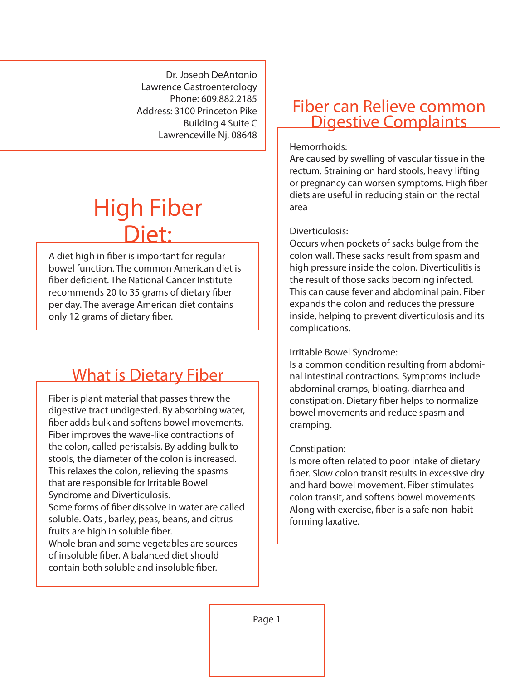Dr. Joseph DeAntonio Lawrence Gastroenterology Phone: 609.882.2185 Address: 3100 Princeton Pike Building 4 Suite C Lawrenceville Nj. 08648

# High Fiber Diet:

A diet high in fiber is important for regular bowel function. The common American diet is fiber deficient. The National Cancer Institute recommends 20 to 35 grams of dietary fiber per day. The average American diet contains only 12 grams of dietary fiber.

## What is Dietary Fiber

Fiber is plant material that passes threw the digestive tract undigested. By absorbing water, ber adds bulk and softens bowel movements. Fiber improves the wave-like contractions of the colon, called peristalsis. By adding bulk to stools, the diameter of the colon is increased. This relaxes the colon, relieving the spasms that are responsible for Irritable Bowel Syndrome and Diverticulosis. Some forms of fiber dissolve in water are called soluble. Oats , barley, peas, beans, and citrus fruits are high in soluble fiber. Whole bran and some vegetables are sources

of insoluble fiber. A balanced diet should contain both soluble and insoluble fiber.

### Fiber can Relieve common Digestive Complaints

#### Hemorrhoids:

Are caused by swelling of vascular tissue in the rectum. Straining on hard stools, heavy lifting or pregnancy can worsen symptoms. High fiber diets are useful in reducing stain on the rectal area

#### Diverticulosis:

Occurs when pockets of sacks bulge from the colon wall. These sacks result from spasm and high pressure inside the colon. Diverticulitis is the result of those sacks becoming infected. This can cause fever and abdominal pain. Fiber expands the colon and reduces the pressure inside, helping to prevent diverticulosis and its complications.

#### Irritable Bowel Syndrome:

Is a common condition resulting from abdominal intestinal contractions. Symptoms include abdominal cramps, bloating, diarrhea and constipation. Dietary fiber helps to normalize bowel movements and reduce spasm and cramping.

#### Constipation:

Is more often related to poor intake of dietary fiber. Slow colon transit results in excessive dry and hard bowel movement. Fiber stimulates colon transit, and softens bowel movements. Along with exercise, fiber is a safe non-habit forming laxative.